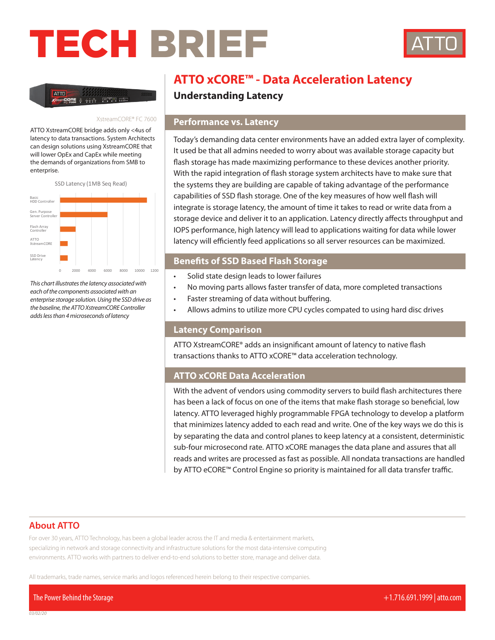# TECH BRIEF



ATTO

#### XstreamCORE® FC 7600

ATTO XstreamCORE bridge adds only <4us of latency to data transactions. System Architects can design solutions using XstreamCORE that will lower OpEx and CapEx while meeting the demands of organizations from SMB to enterprise.



*This chart illustrates the latency associated with each of the components associated with an enterprise storage solution. Using the SSD drive as the baseline, the ATTO XstreamCORE Controller adds less than 4 microseconds of latency*

## **ATTO xCORE™ - Data Acceleration Latency**

**Understanding Latency**

#### **Performance vs. Latency**

Today's demanding data center environments have an added extra layer of complexity. It used be that all admins needed to worry about was available storage capacity but flash storage has made maximizing performance to these devices another priority. With the rapid integration of flash storage system architects have to make sure that the systems they are building are capable of taking advantage of the performance capabilities of SSD flash storage. One of the key measures of how well flash will integrate is storage latency, the amount of time it takes to read or write data from a storage device and deliver it to an application. Latency directly affects throughput and IOPS performance, high latency will lead to applications waiting for data while lower latency will efficiently feed applications so all server resources can be maximized.

#### **Benefits of SSD Based Flash Storage**

- Solid state design leads to lower failures
- No moving parts allows faster transfer of data, more completed transactions
- Faster streaming of data without buffering.
- Allows admins to utilize more CPU cycles compated to using hard disc drives

#### **Latency Comparison**

ATTO XstreamCORE® adds an insignificant amount of latency to native flash transactions thanks to ATTO xCORE™ data acceleration technology.

#### **ATTO xCORE Data Acceleration**

With the advent of vendors using commodity servers to build flash architectures there has been a lack of focus on one of the items that make flash storage so beneficial, low latency. ATTO leveraged highly programmable FPGA technology to develop a platform that minimizes latency added to each read and write. One of the key ways we do this is by separating the data and control planes to keep latency at a consistent, deterministic sub-four microsecond rate. ATTO xCORE manages the data plane and assures that all reads and writes are processed as fast as possible. All nondata transactions are handled by ATTO eCORE™ Control Engine so priority is maintained for all data transfer traffic.

#### **About ATTO**

For over 30 years, ATTO Technology, has been a global leader across the IT and media & entertainment markets, specializing in network and storage connectivity and infrastructure solutions for the most data-intensive computing environments. ATTO works with partners to deliver end-to-end solutions to better store, manage and deliver data.

All trademarks, trade names, service marks and logos referenced herein belong to their respective companies.

The Power Behind the Storage +1.716.691.1999 | atto.com